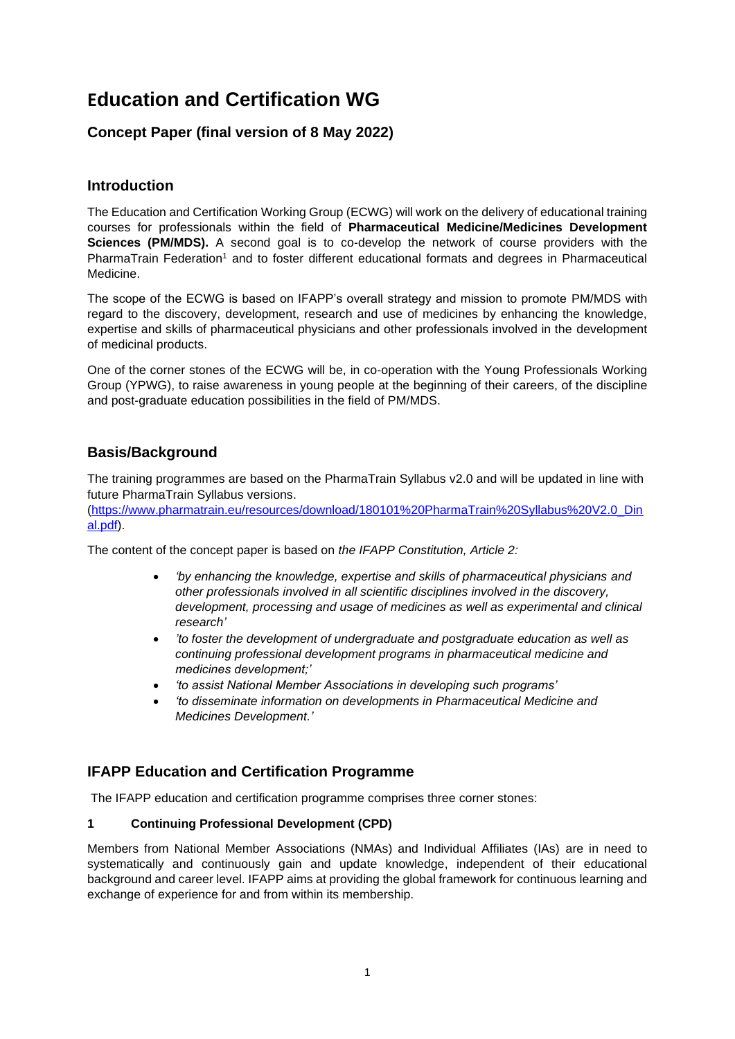# **Education and Certification WG**

# **Concept Paper (final version of 8 May 2022)**

## **Introduction**

The Education and Certification Working Group (ECWG) will work on the delivery of educational training courses for professionals within the field of **Pharmaceutical Medicine/Medicines Development Sciences (PM/MDS).** A second goal is to co-develop the network of course providers with the PharmaTrain Federation<sup>1</sup> and to foster different educational formats and degrees in Pharmaceutical Medicine.

The scope of the ECWG is based on IFAPP's overall strategy and mission to promote PM/MDS with regard to the discovery, development, research and use of medicines by enhancing the knowledge, expertise and skills of pharmaceutical physicians and other professionals involved in the development of medicinal products.

One of the corner stones of the ECWG will be, in co-operation with the Young Professionals Working Group (YPWG), to raise awareness in young people at the beginning of their careers, of the discipline and post-graduate education possibilities in the field of PM/MDS.

# **Basis/Background**

The training programmes are based on the PharmaTrain Syllabus v2.0 and will be updated in line with future PharmaTrain Syllabus versions.

[\(https://www.pharmatrain.eu/resources/download/180101%20PharmaTrain%20Syllabus%20V2.0\\_Din](https://www.pharmatrain.eu/resources/download/180101%20PharmaTrain%20Syllabus%20V2.0_Dinal.pdf) [al.pdf\)](https://www.pharmatrain.eu/resources/download/180101%20PharmaTrain%20Syllabus%20V2.0_Dinal.pdf).

The content of the concept paper is based on *the IFAPP Constitution, Article 2:*

- *'by enhancing the knowledge, expertise and skills of pharmaceutical physicians and other professionals involved in all scientific disciplines involved in the discovery, development, processing and usage of medicines as well as experimental and clinical research'*
- *'to foster the development of undergraduate and postgraduate education as well as continuing professional development programs in pharmaceutical medicine and medicines development;'*
- *'to assist National Member Associations in developing such programs'*
- *'to disseminate information on developments in Pharmaceutical Medicine and Medicines Development.'*

# **IFAPP Education and Certification Programme**

The IFAPP education and certification programme comprises three corner stones:

## **1 Continuing Professional Development (CPD)**

Members from National Member Associations (NMAs) and Individual Affiliates (IAs) are in need to systematically and continuously gain and update knowledge, independent of their educational background and career level. IFAPP aims at providing the global framework for continuous learning and exchange of experience for and from within its membership.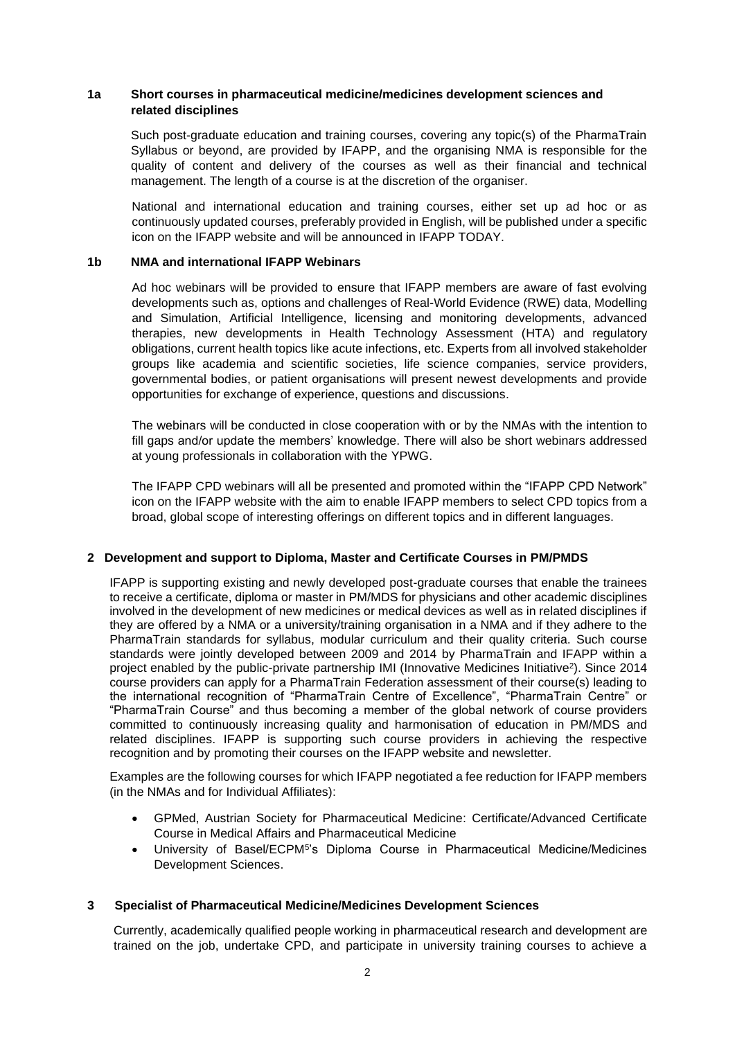## **1a Short courses in pharmaceutical medicine/medicines development sciences and related disciplines**

Such post-graduate education and training courses, covering any topic(s) of the PharmaTrain Syllabus or beyond, are provided by IFAPP, and the organising NMA is responsible for the quality of content and delivery of the courses as well as their financial and technical management. The length of a course is at the discretion of the organiser.

National and international education and training courses, either set up ad hoc or as continuously updated courses, preferably provided in English, will be published under a specific icon on the IFAPP website and will be announced in IFAPP TODAY.

### **1b NMA and international IFAPP Webinars**

Ad hoc webinars will be provided to ensure that IFAPP members are aware of fast evolving developments such as, options and challenges of Real-World Evidence (RWE) data, Modelling and Simulation, Artificial Intelligence, licensing and monitoring developments, advanced therapies, new developments in Health Technology Assessment (HTA) and regulatory obligations, current health topics like acute infections, etc. Experts from all involved stakeholder groups like academia and scientific societies, life science companies, service providers, governmental bodies, or patient organisations will present newest developments and provide opportunities for exchange of experience, questions and discussions.

The webinars will be conducted in close cooperation with or by the NMAs with the intention to fill gaps and/or update the members' knowledge. There will also be short webinars addressed at young professionals in collaboration with the YPWG.

The IFAPP CPD webinars will all be presented and promoted within the "IFAPP CPD Network" icon on the IFAPP website with the aim to enable IFAPP members to select CPD topics from a broad, global scope of interesting offerings on different topics and in different languages.

#### **2 Development and support to Diploma, Master and Certificate Courses in PM/PMDS**

IFAPP is supporting existing and newly developed post-graduate courses that enable the trainees to receive a certificate, diploma or master in PM/MDS for physicians and other academic disciplines involved in the development of new medicines or medical devices as well as in related disciplines if they are offered by a NMA or a university/training organisation in a NMA and if they adhere to the PharmaTrain standards for syllabus, modular curriculum and their quality criteria. Such course standards were jointly developed between 2009 and 2014 by PharmaTrain and IFAPP within a project enabled by the public-private partnership IMI (Innovative Medicines Initiative<sup>2</sup>). Since 2014 course providers can apply for a PharmaTrain Federation assessment of their course(s) leading to the international recognition of "PharmaTrain Centre of Excellence", "PharmaTrain Centre" or "PharmaTrain Course" and thus becoming a member of the global network of course providers committed to continuously increasing quality and harmonisation of education in PM/MDS and related disciplines. IFAPP is supporting such course providers in achieving the respective recognition and by promoting their courses on the IFAPP website and newsletter.

Examples are the following courses for which IFAPP negotiated a fee reduction for IFAPP members (in the NMAs and for Individual Affiliates):

- GPMed, Austrian Society for Pharmaceutical Medicine: Certificate/Advanced Certificate Course in Medical Affairs and Pharmaceutical Medicine
- University of Basel/ECPM<sup>5</sup> 's Diploma Course in Pharmaceutical Medicine/Medicines Development Sciences.

#### **3 Specialist of Pharmaceutical Medicine/Medicines Development Sciences**

Currently, academically qualified people working in pharmaceutical research and development are trained on the job, undertake CPD, and participate in university training courses to achieve a